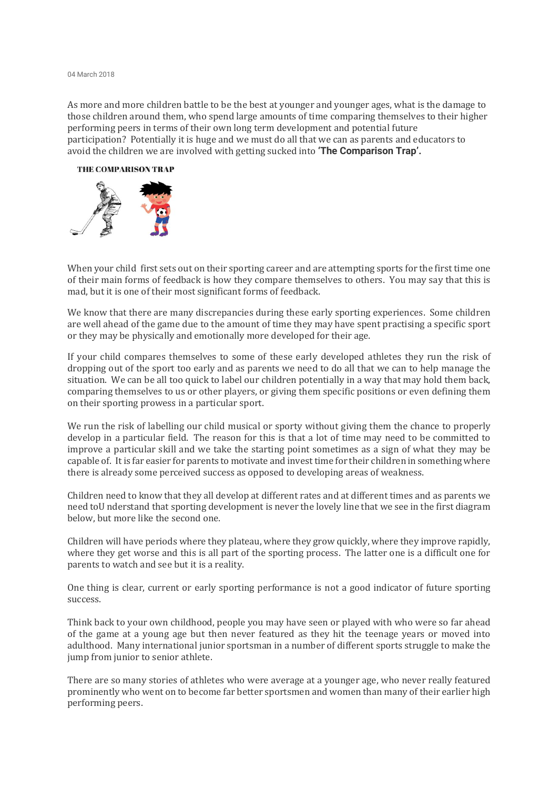## 04 March 2018

As more and more children battle to be the best at younger and younger ages, what is the damage to those children around them, who spend large amounts of time comparing themselves to their higher performing peers in terms of their own long term development and potential future participation? Potentially it is huge and we must do all that we can as parents and educators to avoid the children we are involved with getting sucked into **'The Comparison Trap'.**

## THE COMPARISON TRAP



When your child first sets out on their sporting career and are attempting sports for the first time one of their main forms of feedback is how they compare themselves to others. You may say that this is mad, but it is one of their most significant forms of feedback.

We know that there are many discrepancies during these early sporting experiences. Some children are well ahead of the game due to the amount of time they may have spent practising a specific sport or they may be physically and emotionally more developed for their age.

If your child compares themselves to some of these early developed athletes they run the risk of dropping out of the sport too early and as parents we need to do all that we can to help manage the situation. We can be all too quick to label our children potentially in a way that may hold them back, comparing themselves to us or other players, or giving them specific positions or even defining them on their sporting prowess in a particular sport.

We run the risk of labelling our child musical or sporty without giving them the chance to properly develop in a particular field. The reason for this is that a lot of time may need to be committed to improve a particular skill and we take the starting point sometimes as a sign of what they may be capable of. It is far easier for parents to motivate and investtime for their children in something where there is already some perceived success as opposed to developing areas of weakness.

Children need to know that they all develop at different rates and at different times and as parents we need toU nderstand that sporting development is never the lovely line that we see in the first diagram below, but more like the second one.

Children will have periods where they plateau, where they grow quickly, where they improve rapidly, where they get worse and this is all part of the sporting process. The latter one is a difficult one for parents to watch and see but it is a reality.

One thing is clear, current or early sporting performance is not a good indicator of future sporting success.

Think back to your own childhood, people you may have seen or played with who were so far ahead of the game at a young age but then never featured as they hit the teenage years or moved into adulthood. Many international junior sportsman in a number of different sports struggle to make the jump from junior to senior athlete.

There are so many stories of athletes who were average at a younger age, who never really featured prominently who went on to become far better sportsmen and women than many of their earlier high performing peers.